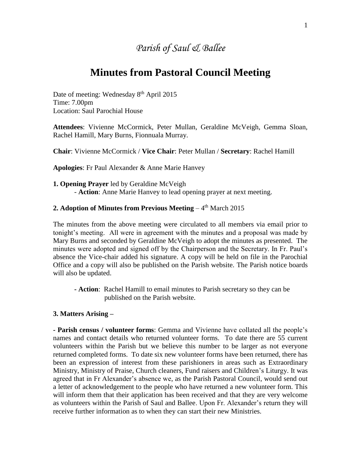# *Parish of Saul & Ballee*

## **Minutes from Pastoral Council Meeting**

Date of meeting: Wednesday 8<sup>th</sup> April 2015 Time: 7.00pm Location: Saul Parochial House

**Attendees**: Vivienne McCormick, Peter Mullan, Geraldine McVeigh, Gemma Sloan, Rachel Hamill, Mary Burns, Fionnuala Murray.

**Chair**: Vivienne McCormick / **Vice Chair**: Peter Mullan / **Secretary**: Rachel Hamill

**Apologies**: Fr Paul Alexander & Anne Marie Hanvey

**1. Opening Prayer** led by Geraldine McVeigh - **Action**: Anne Marie Hanvey to lead opening prayer at next meeting.

### **2. Adoption of Minutes from Previous Meeting – 4th March 2015**

The minutes from the above meeting were circulated to all members via email prior to tonight's meeting. All were in agreement with the minutes and a proposal was made by Mary Burns and seconded by Geraldine McVeigh to adopt the minutes as presented. The minutes were adopted and signed off by the Chairperson and the Secretary. In Fr. Paul's absence the Vice-chair added his signature. A copy will be held on file in the Parochial Office and a copy will also be published on the Parish website. The Parish notice boards will also be updated.

**- Action**: Rachel Hamill to email minutes to Parish secretary so they can be published on the Parish website.

### **3. Matters Arising –**

**- Parish census / volunteer forms**: Gemma and Vivienne have collated all the people's names and contact details who returned volunteer forms. To date there are 55 current volunteers within the Parish but we believe this number to be larger as not everyone returned completed forms. To date six new volunteer forms have been returned, there has been an expression of interest from these parishioners in areas such as Extraordinary Ministry, Ministry of Praise, Church cleaners, Fund raisers and Children's Liturgy. It was agreed that in Fr Alexander's absence we, as the Parish Pastoral Council, would send out a letter of acknowledgement to the people who have returned a new volunteer form. This will inform them that their application has been received and that they are very welcome as volunteers within the Parish of Saul and Ballee. Upon Fr. Alexander's return they will receive further information as to when they can start their new Ministries.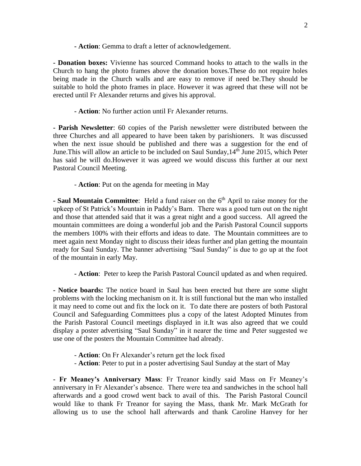**- Action**: Gemma to draft a letter of acknowledgement.

**- Donation boxes:** Vivienne has sourced Command hooks to attach to the walls in the Church to hang the photo frames above the donation boxes.These do not require holes being made in the Church walls and are easy to remove if need be.They should be suitable to hold the photo frames in place. However it was agreed that these will not be erected until Fr Alexander returns and gives his approval.

**- Action**: No further action until Fr Alexander returns.

**- Parish Newsletter**: 60 copies of the Parish newsletter were distributed between the three Churches and all appeared to have been taken by parishioners. It was discussed when the next issue should be published and there was a suggestion for the end of June. This will allow an article to be included on Saul Sunday,  $14<sup>th</sup>$  June 2015, which Peter has said he will do.However it was agreed we would discuss this further at our next Pastoral Council Meeting.

- **Action**: Put on the agenda for meeting in May

**-** Saul Mountain Committee: Held a fund raiser on the 6<sup>th</sup> April to raise money for the upkeep of St Patrick's Mountain in Paddy's Barn. There was a good turn out on the night and those that attended said that it was a great night and a good success. All agreed the mountain committees are doing a wonderful job and the Parish Pastoral Council supports the members 100% with their efforts and ideas to date. The Mountain committees are to meet again next Monday night to discuss their ideas further and plan getting the mountain ready for Saul Sunday. The banner advertising "Saul Sunday" is due to go up at the foot of the mountain in early May.

**- Action**: Peter to keep the Parish Pastoral Council updated as and when required.

**- Notice boards:** The notice board in Saul has been erected but there are some slight problems with the locking mechanism on it. It is still functional but the man who installed it may need to come out and fix the lock on it. To date there are posters of both Pastoral Council and Safeguarding Committees plus a copy of the latest Adopted Minutes from the Parish Pastoral Council meetings displayed in it.It was also agreed that we could display a poster advertising "Saul Sunday" in it nearer the time and Peter suggested we use one of the posters the Mountain Committee had already.

- **Action**: On Fr Alexander's return get the lock fixed
- **Action**: Peter to put in a poster advertising Saul Sunday at the start of May

**- Fr Meaney's Anniversary Mass**: Fr Treanor kindly said Mass on Fr Meaney's anniversary in Fr Alexander's absence. There were tea and sandwiches in the school hall afterwards and a good crowd went back to avail of this. The Parish Pastoral Council would like to thank Fr Treanor for saying the Mass, thank Mr. Mark McGrath for allowing us to use the school hall afterwards and thank Caroline Hanvey for her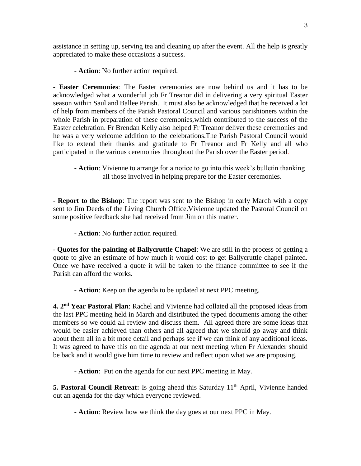assistance in setting up, serving tea and cleaning up after the event. All the help is greatly appreciated to make these occasions a success.

- **Action**: No further action required.

**- Easter Ceremonies**: The Easter ceremonies are now behind us and it has to be acknowledged what a wonderful job Fr Treanor did in delivering a very spiritual Easter season within Saul and Ballee Parish. It must also be acknowledged that he received a lot of help from members of the Parish Pastoral Council and various parishioners within the whole Parish in preparation of these ceremonies,which contributed to the success of the Easter celebration. Fr Brendan Kelly also helped Fr Treanor deliver these ceremonies and he was a very welcome addition to the celebrations.The Parish Pastoral Council would like to extend their thanks and gratitude to Fr Treanor and Fr Kelly and all who participated in the various ceremonies throughout the Parish over the Easter period.

- **Action**: Vivienne to arrange for a notice to go into this week's bulletin thanking all those involved in helping prepare for the Easter ceremonies.

- **Report to the Bishop**: The report was sent to the Bishop in early March with a copy sent to Jim Deeds of the Living Church Office.Vivienne updated the Pastoral Council on some positive feedback she had received from Jim on this matter.

**- Action**: No further action required.

- **Quotes for the painting of Ballycruttle Chapel**: We are still in the process of getting a quote to give an estimate of how much it would cost to get Ballycruttle chapel painted. Once we have received a quote it will be taken to the finance committee to see if the Parish can afford the works.

**- Action**: Keep on the agenda to be updated at next PPC meeting.

**4. 2nd Year Pastoral Plan**: Rachel and Vivienne had collated all the proposed ideas from the last PPC meeting held in March and distributed the typed documents among the other members so we could all review and discuss them. All agreed there are some ideas that would be easier achieved than others and all agreed that we should go away and think about them all in a bit more detail and perhaps see if we can think of any additional ideas. It was agreed to have this on the agenda at our next meeting when Fr Alexander should be back and it would give him time to review and reflect upon what we are proposing.

**- Action**: Put on the agenda for our next PPC meeting in May.

**5. Pastoral Council Retreat:** Is going ahead this Saturday 11<sup>th</sup> April, Vivienne handed out an agenda for the day which everyone reviewed.

**- Action**: Review how we think the day goes at our next PPC in May.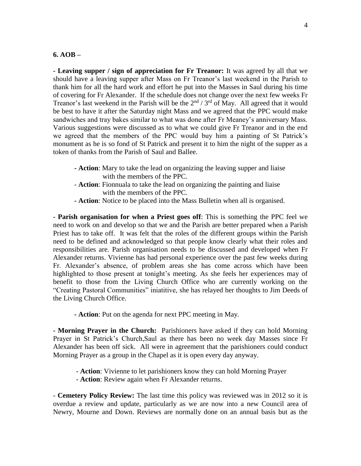#### **6. AOB –**

**- Leaving supper / sign of appreciation for Fr Treanor:** It was agreed by all that we should have a leaving supper after Mass on Fr Treanor's last weekend in the Parish to thank him for all the hard work and effort he put into the Masses in Saul during his time of covering for Fr Alexander. If the schedule does not change over the next few weeks Fr Treanor's last weekend in the Parish will be the  $2<sup>nd</sup> / 3<sup>rd</sup>$  of May. All agreed that it would be best to have it after the Saturday night Mass and we agreed that the PPC would make sandwiches and tray bakes similar to what was done after Fr Meaney's anniversary Mass. Various suggestions were discussed as to what we could give Fr Treanor and in the end we agreed that the members of the PPC would buy him a painting of St Patrick's monument as he is so fond of St Patrick and present it to him the night of the supper as a token of thanks from the Parish of Saul and Ballee.

- **- Action**: Mary to take the lead on organizing the leaving supper and liaise with the members of the PPC.
- **Action**: Fionnuala to take the lead on organizing the painting and liaise with the members of the PPC.
- **- Action**: Notice to be placed into the Mass Bulletin when all is organised.

**- Parish organisation for when a Priest goes off**: This is something the PPC feel we need to work on and develop so that we and the Parish are better prepared when a Parish Priest has to take off. It was felt that the roles of the different groups within the Parish need to be defined and acknowledged so that people know clearly what their roles and responsibilities are. Parish organisation needs to be discussed and developed when Fr Alexander returns. Vivienne has had personal experience over the past few weeks during Fr. Alexander's absence, of problem areas she has come across which have been highlighted to those present at tonight's meeting. As she feels her experiences may of benefit to those from the Living Church Office who are currently working on the "Creating Pastoral Communities" iniatitive, she has relayed her thoughts to Jim Deeds of the Living Church Office.

**- Action**: Put on the agenda for next PPC meeting in May.

**- Morning Prayer in the Church:** Parishioners have asked if they can hold Morning Prayer in St Patrick's Church,Saul as there has been no week day Masses since Fr Alexander has been off sick. All were in agreement that the parishioners could conduct Morning Prayer as a group in the Chapel as it is open every day anyway.

- **Action**: Vivienne to let parishioners know they can hold Morning Prayer
- **Action**: Review again when Fr Alexander returns.

- **Cemetery Policy Review:** The last time this policy was reviewed was in 2012 so it is overdue a review and update, particularly as we are now into a new Council area of Newry, Mourne and Down. Reviews are normally done on an annual basis but as the